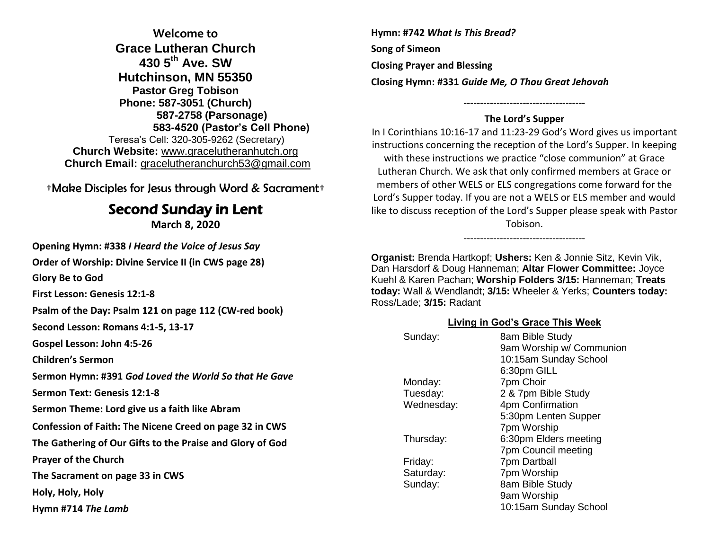**Welcome to Grace Lutheran Church 430 5th Ave. SW Hutchinson, MN 55350 Pastor Greg Tobison Phone: 587-3051 (Church) 587-2758 (Parsonage) 583-4520 (Pastor's Cell Phone)** Teresa's Cell: 320-305-9262 (Secretary) **Church Website:** [www.gracelutheranhutch.org](http://www.gracelutheranhutch.org/) **Church Email:** [gracelutheranchurch53@gmail.com](mailto:gracelutheranchurch53@gmail.com)

†Make Disciples for Jesus through Word & Sacrament†

# Second Sunday in Lent

**March 8, 2020**

**Opening Hymn: #338** *I Heard the Voice of Jesus Say*

**Order of Worship: Divine Service II (in CWS page 28)**

**Glory Be to God** 

**First Lesson: Genesis 12:1-8**

**Psalm of the Day: Psalm 121 on page 112 (CW-red book)**

**Second Lesson: Romans 4:1-5, 13-17**

**Gospel Lesson: John 4:5-26**

**Children's Sermon**

**Sermon Hymn: #391** *God Loved the World So that He Gave*

**Sermon Text: Genesis 12:1-8**

**Sermon Theme: Lord give us a faith like Abram**

**Confession of Faith: The Nicene Creed on page 32 in CWS**

**The Gathering of Our Gifts to the Praise and Glory of God**

**Prayer of the Church** 

**The Sacrament on page 33 in CWS**

**Holy, Holy, Holy** 

**Hymn #714** *The Lamb*

**Hymn: #742** *What Is This Bread?* **Song of Simeon Closing Prayer and Blessing Closing Hymn: #331** *Guide Me, O Thou Great Jehovah*

### ------------------------------------- **The Lord's Supper**

In I Corinthians 10:16-17 and 11:23-29 God's Word gives us important instructions concerning the reception of the Lord's Supper. In keeping with these instructions we practice "close communion" at Grace Lutheran Church. We ask that only confirmed members at Grace or members of other WELS or ELS congregations come forward for the Lord's Supper today. If you are not a WELS or ELS member and would like to discuss reception of the Lord's Supper please speak with Pastor Tobison.

-------------------------------------

**Organist:** Brenda Hartkopf; **Ushers:** Ken & Jonnie Sitz, Kevin Vik, Dan Harsdorf & Doug Hanneman; **Altar Flower Committee:** Joyce Kuehl & Karen Pachan; **Worship Folders 3/15:** Hanneman; **Treats today:** Wall & Wendlandt; **3/15:** Wheeler & Yerks; **Counters today:** Ross/Lade; **3/15:** Radant

#### **Living in God's Grace This Week**

| Sunday:    | 8am Bible Study          |
|------------|--------------------------|
|            | 9am Worship w/ Communion |
|            | 10:15am Sunday School    |
|            | 6:30pm GILL              |
| Monday:    | 7pm Choir                |
| Tuesday:   | 2 & 7pm Bible Study      |
| Wednesday: | 4pm Confirmation         |
|            | 5:30pm Lenten Supper     |
|            | 7pm Worship              |
| Thursday:  | 6:30pm Elders meeting    |
|            | 7pm Council meeting      |
| Friday:    | 7pm Dartball             |
| Saturday:  | 7pm Worship              |
| Sunday:    | 8am Bible Study          |
|            | 9am Worship              |
|            | 10:15am Sunday School    |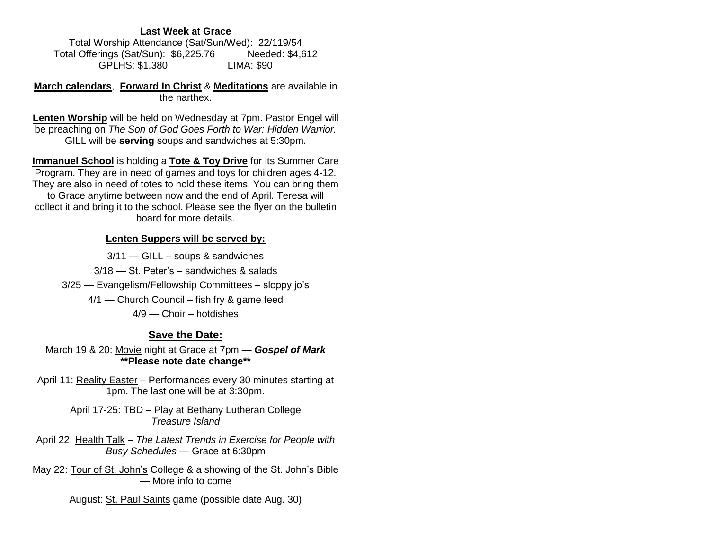#### **Last Week at Grace**

Total Worship Attendance (Sat/Sun/Wed): 22/119/54 Total Offerings (Sat/Sun): \$6,225.76 Needed: \$4,612 GPLHS: \$1.380 LIMA: \$90

**March calendars**, **Forward In Christ** & **Meditations** are available in the narthex.

**Lenten Worship** will be held on Wednesday at 7pm. Pastor Engel will be preaching on *The Son of God Goes Forth to War: Hidden Warrior.*  GILL will be **serving** soups and sandwiches at 5:30pm.

**Immanuel School** is holding a **Tote & Toy Drive** for its Summer Care Program. They are in need of games and toys for children ages 4-12. They are also in need of totes to hold these items. You can bring them to Grace anytime between now and the end of April. Teresa will collect it and bring it to the school. Please see the flyer on the bulletin board for more details.

#### **Lenten Suppers will be served by:**

3/11 — GILL – soups & sandwiches 3/18 — St. Peter's – sandwiches & salads 3/25 — Evangelism/Fellowship Committees – sloppy jo's 4/1 — Church Council – fish fry & game feed 4/9 — Choir – hotdishes

#### **Save the Date:**

March 19 & 20: Movie night at Grace at 7pm — *Gospel of Mark* **\*\*Please note date change\*\***

April 11: Reality Easter - Performances every 30 minutes starting at 1pm. The last one will be at 3:30pm.

> April 17-25: TBD – Play at Bethany Lutheran College *Treasure Island*

April 22: Health Talk – *The Latest Trends in Exercise for People with Busy Schedules* — Grace at 6:30pm

May 22: Tour of St. John's College & a showing of the St. John's Bible — More info to come

August: St. Paul Saints game (possible date Aug. 30)